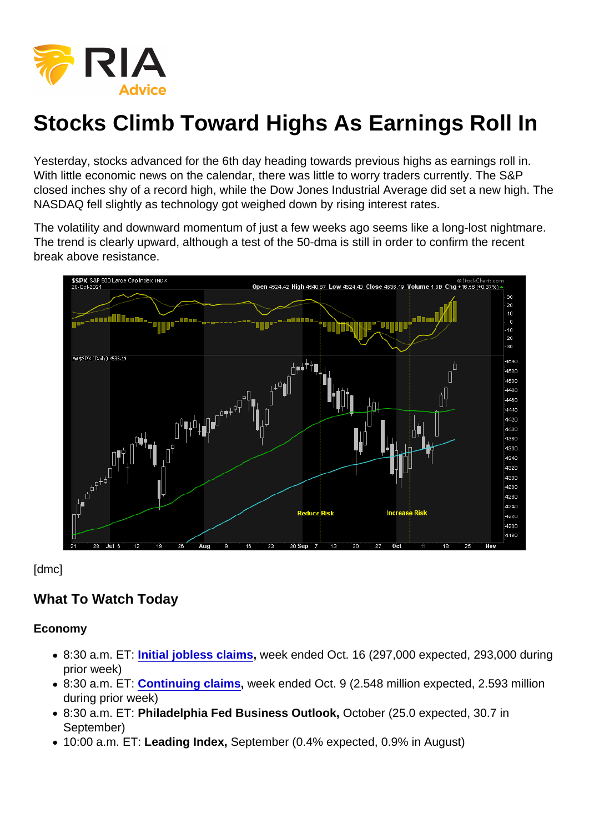# Stocks Climb Toward Highs As Earnings Roll In

Yesterday, stocks advanced for the 6th day heading towards previous highs as earnings roll in. With little economic news on the calendar, there was little to worry traders currently. The S&P closed inches shy of a record high, while the Dow Jones Industrial Average did set a new high. The NASDAQ fell slightly as technology got weighed down by rising interest rates.

The volatility and downward momentum of just a few weeks ago seems like a long-lost nightmare. The trend is clearly upward, although a test of the 50-dma is still in order to confirm the recent break above resistance.

[dmc]

#### What To Watch Today

Economy

- 8:30 a.m. ET: [Initial jobless claims](https://finance.yahoo.com/news/weekly-jobless-claims-week-ended-october-16-2021-193313259.html) , week ended Oct. 16 (297,000 expected, 293,000 during prior week)
- 8:30 a.m. ET: [Continuing claims](https://finance.yahoo.com/news/weekly-jobless-claims-week-ended-october-16-2021-193313259.html) , week ended Oct. 9 (2.548 million expected, 2.593 million during prior week)
- 8:30 a.m. ET: Philadelphia Fed Business Outlook, October (25.0 expected, 30.7 in September)
- 10:00 a.m. ET: Leading Index, September (0.4% expected, 0.9% in August)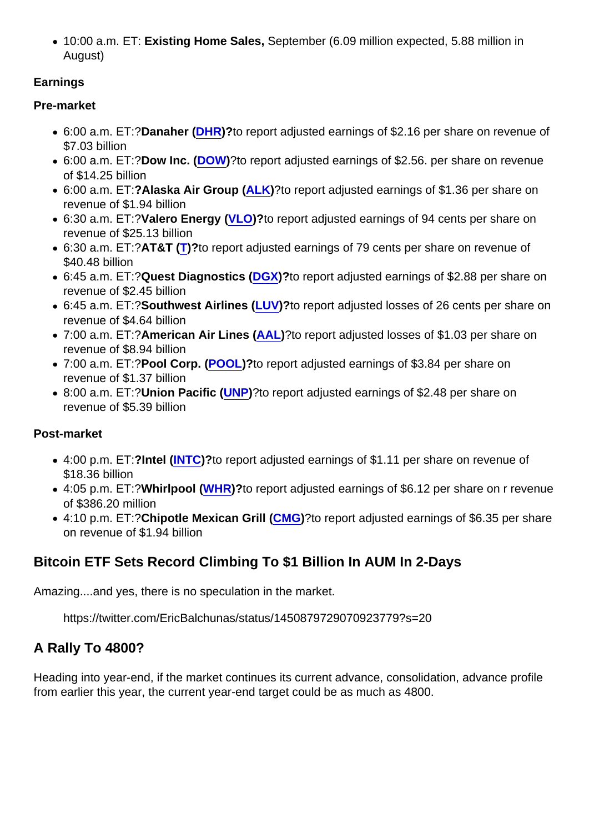10:00 a.m. ET: Existing Home Sales, September (6.09 million expected, 5.88 million in August)

**Earnings** 

Pre-market

- 6:00 a.m. ET:?Danaher ( [DHR](https://finance.yahoo.com/quote/DHR))?to report adjusted earnings of \$2.16 per share on revenue of \$7.03 billion
- 6:00 a.m. ET:?Dow Inc. ( [DOW\)](https://finance.yahoo.com/quote/DOW)?to report adjusted earnings of \$2.56. per share on revenue of \$14.25 billion
- 6:00 a.m. ET:?Alaska Air Group ( [ALK](https://finance.yahoo.com/quote/ALK))?to report adjusted earnings of \$1.36 per share on revenue of \$1.94 billion
- 6:30 a.m. ET:?Valero Energy ( [VLO](https://finance.yahoo.com/quote/VLO))?to report adjusted earnings of 94 cents per share on revenue of \$25.13 billion
- 6:30 a.m. ET:?AT&T ([T](https://finance.yahoo.com/quote/T))?to report adjusted earnings of 79 cents per share on revenue of \$40.48 billion
- 6:45 a.m. ET:?Quest Diagnostics ( [DGX](https://finance.yahoo.com/quote/DGX))?to report adjusted earnings of \$2.88 per share on revenue of \$2.45 billion
- 6:45 a.m. ET:?Southwest Airlines ( [LUV](https://finance.yahoo.com/quote/LUV))?to report adjusted losses of 26 cents per share on revenue of \$4.64 billion
- 7:00 a.m. ET:?American Air Lines ([AAL](https://finance.yahoo.com/quote/AAL))?to report adjusted losses of \$1.03 per share on revenue of \$8.94 billion
- 7:00 a.m. ET:?Pool Corp. ( [POOL\)](https://finance.yahoo.com/quote/POOL)?to report adjusted earnings of \$3.84 per share on revenue of \$1.37 billion
- 8:00 a.m. ET:?Union Pacific ( [UNP](https://finance.yahoo.com/quote/UNP))?to report adjusted earnings of \$2.48 per share on revenue of \$5.39 billion

Post-market

- 4:00 p.m. ET:?Intel ( [INTC](https://finance.yahoo.com/quote/INTC))?to report adjusted earnings of \$1.11 per share on revenue of \$18.36 billion
- 4:05 p.m. ET:?Whirlpool ( [WHR](https://finance.yahoo.com/quote/WHR))?to report adjusted earnings of \$6.12 per share on r revenue of \$386.20 million
- 4:10 p.m. ET:?Chipotle Mexican Grill ( [CMG](https://finance.yahoo.com/quote/CMG))?to report adjusted earnings of \$6.35 per share on revenue of \$1.94 billion

# Bitcoin ETF Sets Record Climbing To \$1 Billion In AUM In 2-Days

Amazing....and yes, there is no speculation in the market.

https://twitter.com/EricBalchunas/status/1450879729070923779?s=20

A Rally To 4800?

Heading into year-end, if the market continues its current advance, consolidation, advance profile from earlier this year, the current year-end target could be as much as 4800.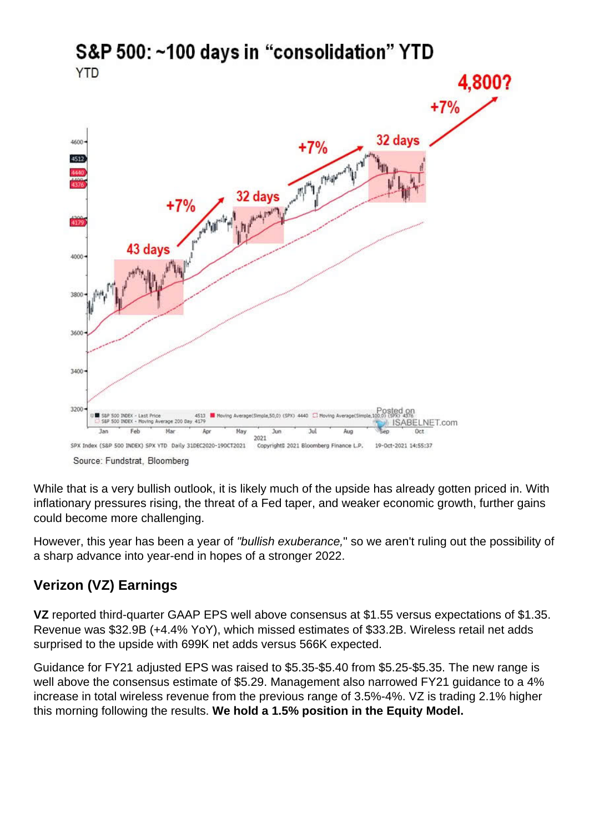While that is a very bullish outlook, it is likely much of the upside has already gotten priced in. With inflationary pressures rising, the threat of a Fed taper, and weaker economic growth, further gains could become more challenging.

However, this year has been a year of "bullish exuberance," so we aren't ruling out the possibility of a sharp advance into year-end in hopes of a stronger 2022.

## Verizon (VZ) Earnings

VZ reported third-quarter GAAP EPS well above consensus at \$1.55 versus expectations of \$1.35. Revenue was \$32.9B (+4.4% YoY), which missed estimates of \$33.2B. Wireless retail net adds surprised to the upside with 699K net adds versus 566K expected.

Guidance for FY21 adjusted EPS was raised to \$5.35-\$5.40 from \$5.25-\$5.35. The new range is well above the consensus estimate of \$5.29. Management also narrowed FY21 guidance to a 4% increase in total wireless revenue from the previous range of 3.5%-4%. VZ is trading 2.1% higher this morning following the results. We hold a 1.5% position in the Equity Model.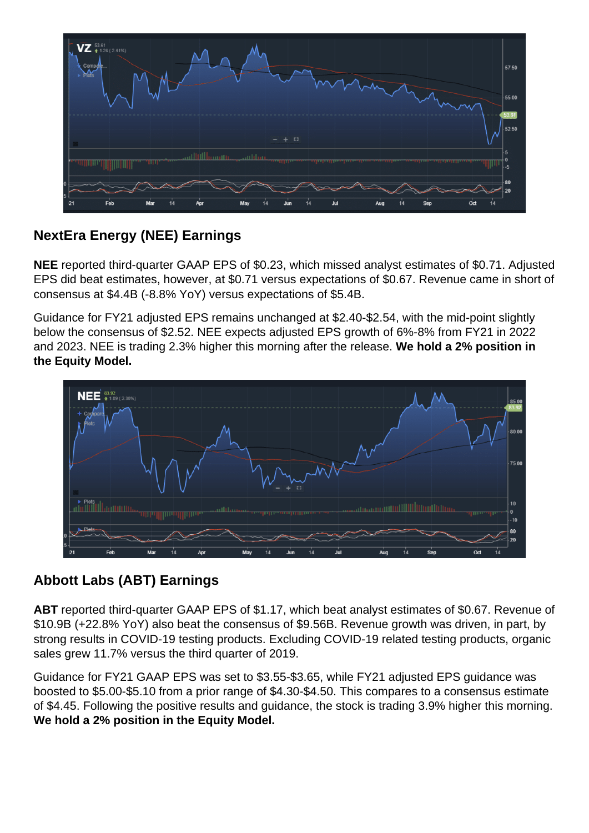## NextEra Energy (NEE) Earnings

NEE reported third-quarter GAAP EPS of \$0.23, which missed analyst estimates of \$0.71. Adjusted EPS did beat estimates, however, at \$0.71 versus expectations of \$0.67. Revenue came in short of consensus at \$4.4B (-8.8% YoY) versus expectations of \$5.4B.

Guidance for FY21 adjusted EPS remains unchanged at \$2.40-\$2.54, with the mid-point slightly below the consensus of \$2.52. NEE expects adjusted EPS growth of 6%-8% from FY21 in 2022 and 2023. NEE is trading 2.3% higher this morning after the release. We hold a 2% position in the Equity Model.

## Abbott Labs (ABT) Earnings

ABT reported third-quarter GAAP EPS of \$1.17, which beat analyst estimates of \$0.67. Revenue of \$10.9B (+22.8% YoY) also beat the consensus of \$9.56B. Revenue growth was driven, in part, by strong results in COVID-19 testing products. Excluding COVID-19 related testing products, organic sales grew 11.7% versus the third quarter of 2019.

Guidance for FY21 GAAP EPS was set to \$3.55-\$3.65, while FY21 adjusted EPS guidance was boosted to \$5.00-\$5.10 from a prior range of \$4.30-\$4.50. This compares to a consensus estimate of \$4.45. Following the positive results and guidance, the stock is trading 3.9% higher this morning. We hold a 2% position in the Equity Model.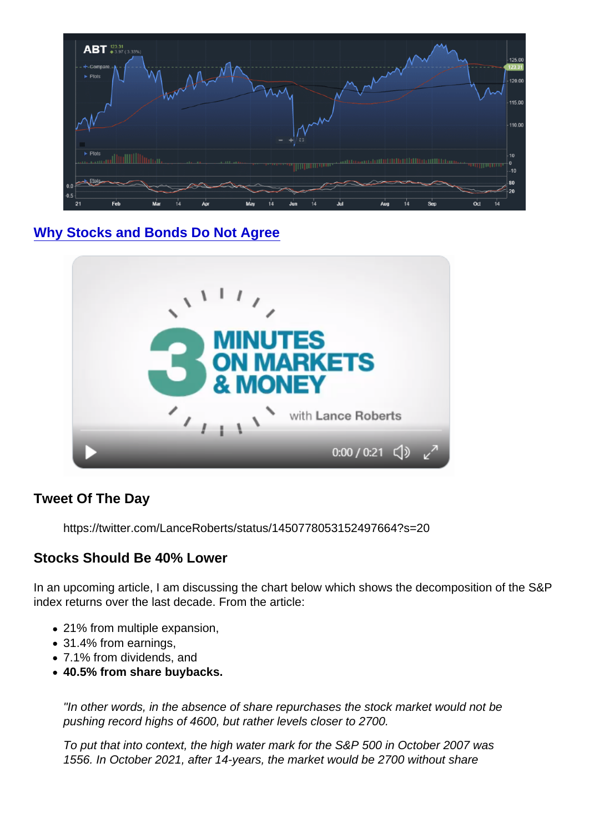[Why Stocks and Bonds Do Not Agree](https://youtu.be/Y6B7Eqn8u8s)

Tweet Of The Day

https://twitter.com/LanceRoberts/status/1450778053152497664?s=20

Stocks Should Be 40% Lower

In an upcoming article, I am discussing the chart below which shows the decomposition of the S&P index returns over the last decade. From the article:

- 21% from multiple expansion,
- 31.4% from earnings,
- 7.1% from dividends, and
- 40.5% from share buybacks.

"In other words, in the absence of share repurchases the stock market would not be pushing record highs of 4600, but rather levels closer to 2700.

To put that into context, the high water mark for the S&P 500 in October 2007 was 1556. In October 2021, after 14-years, the market would be 2700 without share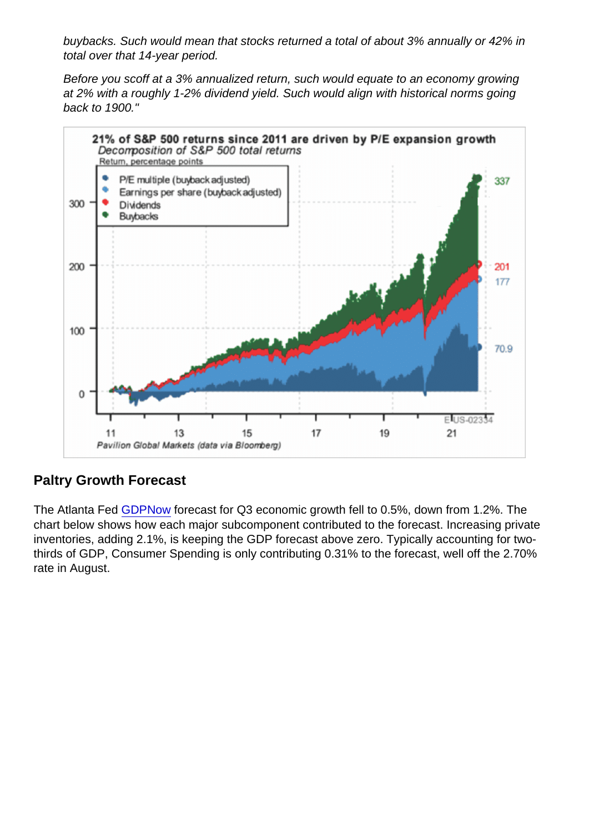buybacks. Such would mean that stocks returned a total of about 3% annually or 42% in total over that 14-year period.

Before you scoff at a 3% annualized return, such would equate to an economy growing at 2% with a roughly 1-2% dividend yield. Such would align with historical norms going back to 1900."

## Paltry Growth Forecast

The Atlanta Fed [GDPNow](https://www.atlantafed.org/cqer/research/gdpnow?panel=3) forecast for Q3 economic growth fell to 0.5%, down from 1.2%. The chart below shows how each major subcomponent contributed to the forecast. Increasing private inventories, adding 2.1%, is keeping the GDP forecast above zero. Typically accounting for twothirds of GDP, Consumer Spending is only contributing 0.31% to the forecast, well off the 2.70% rate in August.